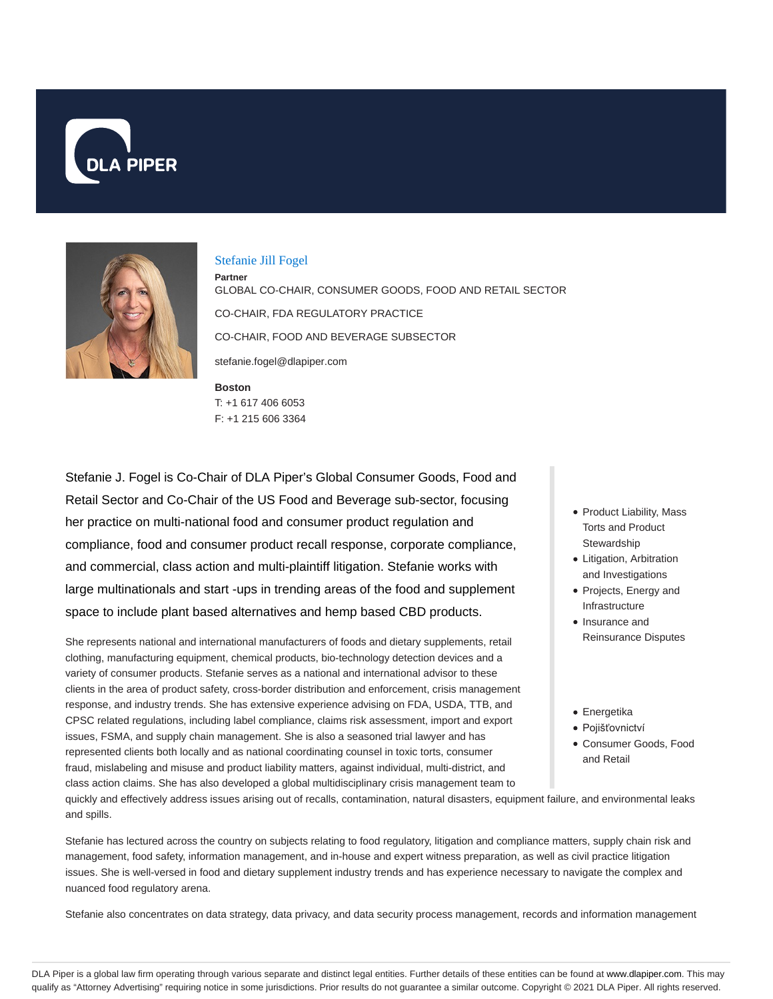



#### Stefanie Jill Fogel

**Boston Partner** GLOBAL CO-CHAIR, CONSUMER GOODS, FOOD AND RETAIL SECTOR CO-CHAIR, FDA REGULATORY PRACTICE CO-CHAIR, FOOD AND BEVERAGE SUBSECTOR stefanie.fogel@dlapiper.com

T: +1 617 406 6053 F: +1 215 606 3364

Stefanie J. Fogel is Co-Chair of DLA Piper's Global Consumer Goods, Food and Retail Sector and Co-Chair of the US Food and Beverage sub-sector, focusing her practice on multi-national food and consumer product regulation and compliance, food and consumer product recall response, corporate compliance, and commercial, class action and multi-plaintiff litigation. Stefanie works with large multinationals and start -ups in trending areas of the food and supplement space to include plant based alternatives and hemp based CBD products.

She represents national and international manufacturers of foods and dietary supplements, retail clothing, manufacturing equipment, chemical products, bio-technology detection devices and a variety of consumer products. Stefanie serves as a national and international advisor to these clients in the area of product safety, cross-border distribution and enforcement, crisis management response, and industry trends. She has extensive experience advising on FDA, USDA, TTB, and CPSC related regulations, including label compliance, claims risk assessment, import and export issues, FSMA, and supply chain management. She is also a seasoned trial lawyer and has represented clients both locally and as national coordinating counsel in toxic torts, consumer fraud, mislabeling and misuse and product liability matters, against individual, multi-district, and class action claims. She has also developed a global multidisciplinary crisis management team to

- Product Liability, Mass Torts and Product **Stewardship**
- Litigation, Arbitration and Investigations
- Projects, Energy and Infrastructure
- Insurance and Reinsurance Disputes
- Energetika
- Pojišťovnictví Consumer Goods, Food and Retail

quickly and effectively address issues arising out of recalls, contamination, natural disasters, equipment failure, and environmental leaks and spills.

Stefanie has lectured across the country on subjects relating to food regulatory, litigation and compliance matters, supply chain risk and management, food safety, information management, and in-house and expert witness preparation, as well as civil practice litigation issues. She is well-versed in food and dietary supplement industry trends and has experience necessary to navigate the complex and nuanced food regulatory arena.

Stefanie also concentrates on data strategy, data privacy, and data security process management, records and information management

DLA Piper is a global law firm operating through various separate and distinct legal entities. Further details of these entities can be found at www.dlapiper.com. This may qualify as "Attorney Advertising" requiring notice in some jurisdictions. Prior results do not guarantee a similar outcome. Copyright © 2021 DLA Piper. All rights reserved.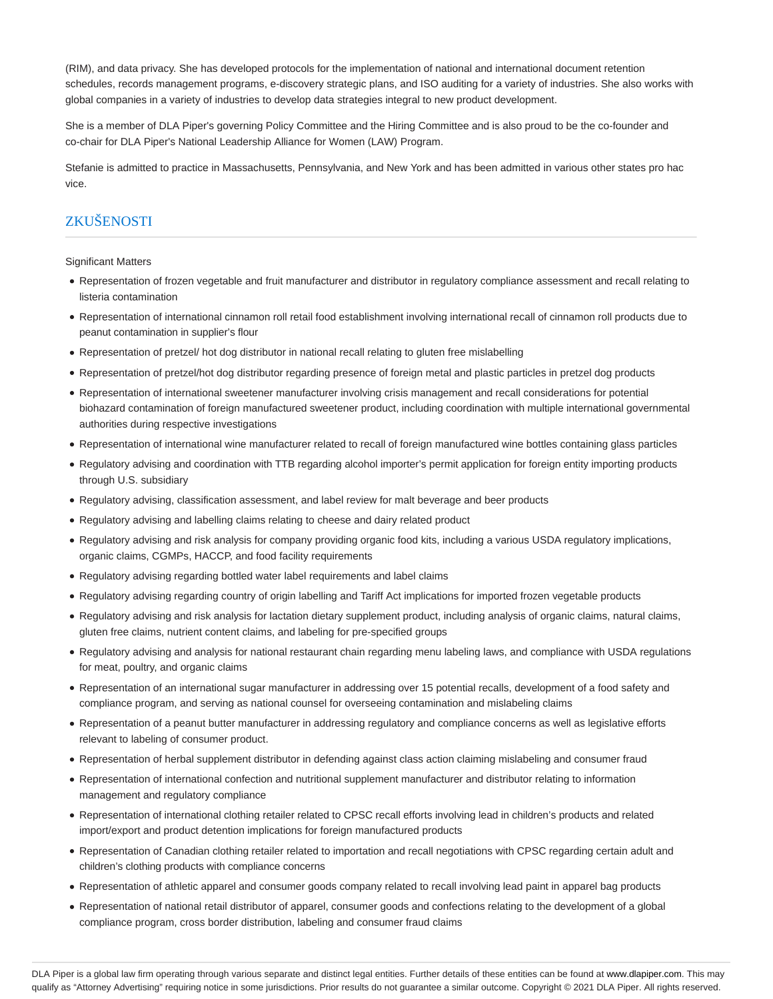(RIM), and data privacy. She has developed protocols for the implementation of national and international document retention schedules, records management programs, e-discovery strategic plans, and ISO auditing for a variety of industries. She also works with global companies in a variety of industries to develop data strategies integral to new product development.

She is a member of DLA Piper's governing Policy Committee and the Hiring Committee and is also proud to be the co-founder and co-chair for DLA Piper's National Leadership Alliance for Women (LAW) Program.

Stefanie is admitted to practice in Massachusetts, Pennsylvania, and New York and has been admitted in various other states pro hac vice.

# ZKUŠENOSTI

Significant Matters

- Representation of frozen vegetable and fruit manufacturer and distributor in regulatory compliance assessment and recall relating to listeria contamination
- Representation of international cinnamon roll retail food establishment involving international recall of cinnamon roll products due to peanut contamination in supplier's flour
- Representation of pretzel/ hot dog distributor in national recall relating to gluten free mislabelling
- Representation of pretzel/hot dog distributor regarding presence of foreign metal and plastic particles in pretzel dog products
- Representation of international sweetener manufacturer involving crisis management and recall considerations for potential biohazard contamination of foreign manufactured sweetener product, including coordination with multiple international governmental authorities during respective investigations
- Representation of international wine manufacturer related to recall of foreign manufactured wine bottles containing glass particles
- Regulatory advising and coordination with TTB regarding alcohol importer's permit application for foreign entity importing products through U.S. subsidiary
- Regulatory advising, classification assessment, and label review for malt beverage and beer products
- Regulatory advising and labelling claims relating to cheese and dairy related product
- Regulatory advising and risk analysis for company providing organic food kits, including a various USDA regulatory implications, organic claims, CGMPs, HACCP, and food facility requirements
- Regulatory advising regarding bottled water label requirements and label claims
- Regulatory advising regarding country of origin labelling and Tariff Act implications for imported frozen vegetable products
- Regulatory advising and risk analysis for lactation dietary supplement product, including analysis of organic claims, natural claims, gluten free claims, nutrient content claims, and labeling for pre-specified groups
- Regulatory advising and analysis for national restaurant chain regarding menu labeling laws, and compliance with USDA regulations for meat, poultry, and organic claims
- Representation of an international sugar manufacturer in addressing over 15 potential recalls, development of a food safety and compliance program, and serving as national counsel for overseeing contamination and mislabeling claims
- Representation of a peanut butter manufacturer in addressing regulatory and compliance concerns as well as legislative efforts relevant to labeling of consumer product.
- Representation of herbal supplement distributor in defending against class action claiming mislabeling and consumer fraud
- Representation of international confection and nutritional supplement manufacturer and distributor relating to information management and regulatory compliance
- Representation of international clothing retailer related to CPSC recall efforts involving lead in children's products and related import/export and product detention implications for foreign manufactured products
- Representation of Canadian clothing retailer related to importation and recall negotiations with CPSC regarding certain adult and children's clothing products with compliance concerns
- Representation of athletic apparel and consumer goods company related to recall involving lead paint in apparel bag products
- Representation of national retail distributor of apparel, consumer goods and confections relating to the development of a global compliance program, cross border distribution, labeling and consumer fraud claims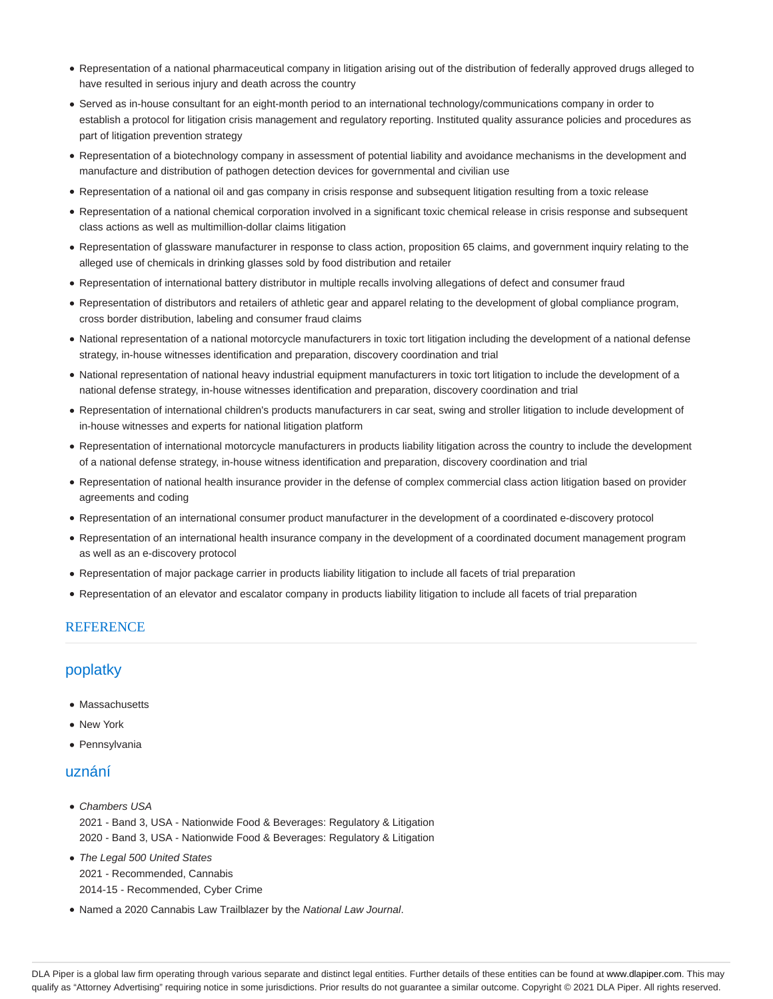- Representation of a national pharmaceutical company in litigation arising out of the distribution of federally approved drugs alleged to have resulted in serious injury and death across the country
- Served as in-house consultant for an eight-month period to an international technology/communications company in order to establish a protocol for litigation crisis management and regulatory reporting. Instituted quality assurance policies and procedures as part of litigation prevention strategy
- Representation of a biotechnology company in assessment of potential liability and avoidance mechanisms in the development and manufacture and distribution of pathogen detection devices for governmental and civilian use
- Representation of a national oil and gas company in crisis response and subsequent litigation resulting from a toxic release
- Representation of a national chemical corporation involved in a significant toxic chemical release in crisis response and subsequent class actions as well as multimillion-dollar claims litigation
- Representation of glassware manufacturer in response to class action, proposition 65 claims, and government inquiry relating to the alleged use of chemicals in drinking glasses sold by food distribution and retailer
- Representation of international battery distributor in multiple recalls involving allegations of defect and consumer fraud
- Representation of distributors and retailers of athletic gear and apparel relating to the development of global compliance program, cross border distribution, labeling and consumer fraud claims
- National representation of a national motorcycle manufacturers in toxic tort litigation including the development of a national defense strategy, in-house witnesses identification and preparation, discovery coordination and trial
- National representation of national heavy industrial equipment manufacturers in toxic tort litigation to include the development of a national defense strategy, in-house witnesses identification and preparation, discovery coordination and trial
- Representation of international children's products manufacturers in car seat, swing and stroller litigation to include development of in-house witnesses and experts for national litigation platform
- Representation of international motorcycle manufacturers in products liability litigation across the country to include the development of a national defense strategy, in-house witness identification and preparation, discovery coordination and trial
- Representation of national health insurance provider in the defense of complex commercial class action litigation based on provider agreements and coding
- Representation of an international consumer product manufacturer in the development of a coordinated e-discovery protocol
- Representation of an international health insurance company in the development of a coordinated document management program as well as an e-discovery protocol
- Representation of major package carrier in products liability litigation to include all facets of trial preparation
- Representation of an elevator and escalator company in products liability litigation to include all facets of trial preparation

#### **REFERENCE**

# poplatky

- Massachusetts
- New York
- Pennsylvania

## uznání

- Chambers USA 2021 - Band 3, USA - Nationwide Food & Beverages: Regulatory & Litigation 2020 - Band 3, USA - Nationwide Food & Beverages: Regulatory & Litigation
- The Legal 500 United States 2021 - Recommended, Cannabis 2014-15 - Recommended, Cyber Crime
- Named a 2020 Cannabis Law Trailblazer by the National Law Journal.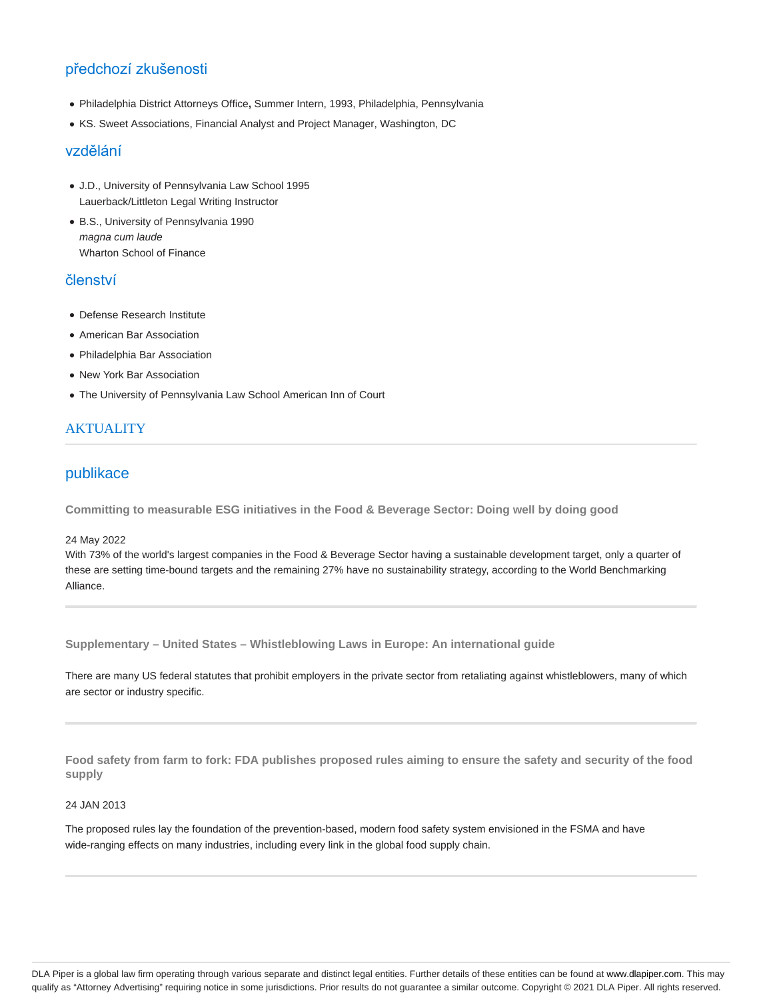# předchozí zkušenosti

- Philadelphia District Attorneys Office**,** Summer Intern, 1993, Philadelphia, Pennsylvania
- KS. Sweet Associations, Financial Analyst and Project Manager, Washington, DC

## vzdělání

- J.D., University of Pennsylvania Law School 1995 Lauerback/Littleton Legal Writing Instructor
- B.S., University of Pennsylvania 1990 magna cum laude Wharton School of Finance

# členství

- Defense Research Institute
- American Bar Association
- Philadelphia Bar Association
- New York Bar Association
- The University of Pennsylvania Law School American Inn of Court

# **AKTUALITY**

# publikace

**Committing to measurable ESG initiatives in the Food & Beverage Sector: Doing well by doing good**

#### 24 May 2022

With 73% of the world's largest companies in the Food & Beverage Sector having a sustainable development target, only a quarter of these are setting time-bound targets and the remaining 27% have no sustainability strategy, according to the World Benchmarking Alliance.

**Supplementary – United States – Whistleblowing Laws in Europe: An international guide**

There are many US federal statutes that prohibit employers in the private sector from retaliating against whistleblowers, many of which are sector or industry specific.

**Food safety from farm to fork: FDA publishes proposed rules aiming to ensure the safety and security of the food supply**

### 24 JAN 2013

The proposed rules lay the foundation of the prevention-based, modern food safety system envisioned in the FSMA and have wide-ranging effects on many industries, including every link in the global food supply chain.

DLA Piper is a global law firm operating through various separate and distinct legal entities. Further details of these entities can be found at www.dlapiper.com. This may qualify as "Attorney Advertising" requiring notice in some jurisdictions. Prior results do not guarantee a similar outcome. Copyright © 2021 DLA Piper. All rights reserved.